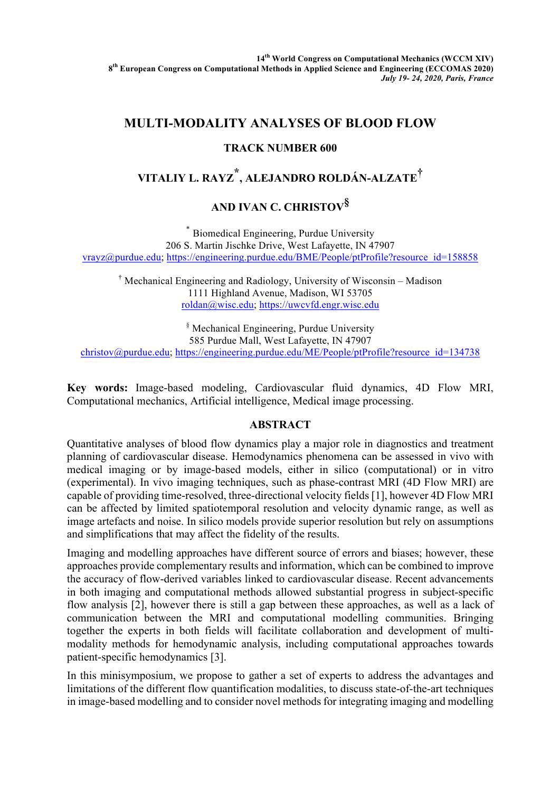**14th World Congress on Computational Mechanics (WCCM XIV) 8th European Congress on Computational Methods in Applied Science and Engineering (ECCOMAS 2020)** *July 19- 24, 2020, Paris, France*

## **MULTI-MODALITY ANALYSES OF BLOOD FLOW**

## **TRACK NUMBER 600**

# **VITALIY L. RAYZ \*, ALEJANDRO ROLDÁN-ALZATE†**

## **AND IVAN C. CHRISTOV§**

\* Biomedical Engineering, Purdue University 206 S. Martin Jischke Drive, West Lafayette, IN 47907 vrayz@purdue.edu; https://engineering.purdue.edu/BME/People/ptProfile?resource\_id=158858

† Mechanical Engineering and Radiology, University of Wisconsin – Madison 1111 Highland Avenue, Madison, WI 53705 roldan@wisc.edu; https://uwcvfd.engr.wisc.edu

§ Mechanical Engineering, Purdue University 585 Purdue Mall, West Lafayette, IN 47907 christov@purdue.edu; https://engineering.purdue.edu/ME/People/ptProfile?resource\_id=134738

**Key words:** Image-based modeling, Cardiovascular fluid dynamics, 4D Flow MRI, Computational mechanics, Artificial intelligence, Medical image processing.

## **ABSTRACT**

Quantitative analyses of blood flow dynamics play a major role in diagnostics and treatment planning of cardiovascular disease. Hemodynamics phenomena can be assessed in vivo with medical imaging or by image-based models, either in silico (computational) or in vitro (experimental). In vivo imaging techniques, such as phase-contrast MRI (4D Flow MRI) are capable of providing time-resolved, three-directional velocity fields [1], however 4D Flow MRI can be affected by limited spatiotemporal resolution and velocity dynamic range, as well as image artefacts and noise. In silico models provide superior resolution but rely on assumptions and simplifications that may affect the fidelity of the results.

Imaging and modelling approaches have different source of errors and biases; however, these approaches provide complementary results and information, which can be combined to improve the accuracy of flow-derived variables linked to cardiovascular disease. Recent advancements in both imaging and computational methods allowed substantial progress in subject-specific flow analysis [2], however there is still a gap between these approaches, as well as a lack of communication between the MRI and computational modelling communities. Bringing together the experts in both fields will facilitate collaboration and development of multimodality methods for hemodynamic analysis, including computational approaches towards patient-specific hemodynamics [3].

In this minisymposium, we propose to gather a set of experts to address the advantages and limitations of the different flow quantification modalities, to discuss state-of-the-art techniques in image-based modelling and to consider novel methods for integrating imaging and modelling